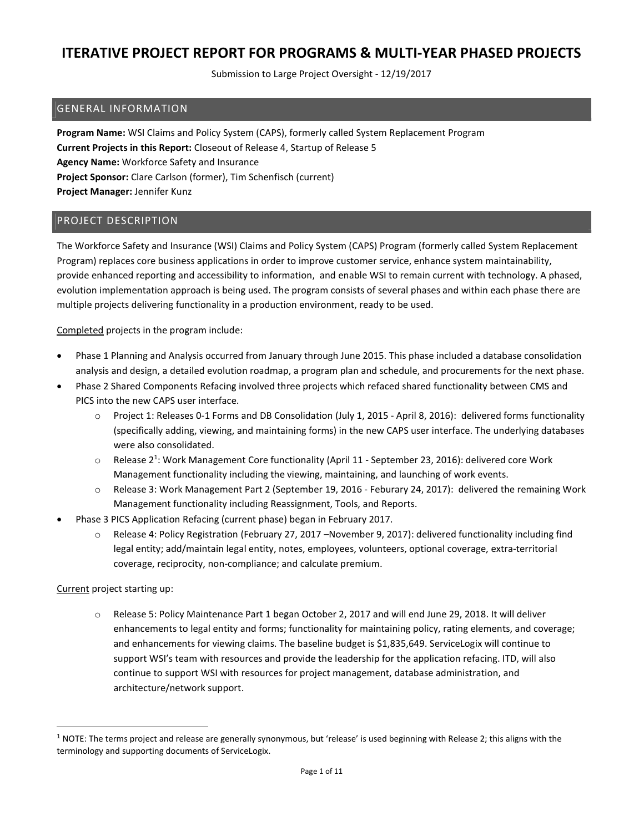Submission to Large Project Oversight - 12/19/2017

### GENERAL INFORMATION

Program Name: WSI Claims and Policy System (CAPS), formerly called System Replacement Program Current Projects in this Report: Closeout of Release 4, Startup of Release 5 Agency Name: Workforce Safety and Insurance Project Sponsor: Clare Carlson (former), Tim Schenfisch (current) Project Manager: Jennifer Kunz

### PROJECT DESCRIPTION

The Workforce Safety and Insurance (WSI) Claims and Policy System (CAPS) Program (formerly called System Replacement Program) replaces core business applications in order to improve customer service, enhance system maintainability, provide enhanced reporting and accessibility to information, and enable WSI to remain current with technology. A phased, evolution implementation approach is being used. The program consists of several phases and within each phase there are multiple projects delivering functionality in a production environment, ready to be used.

Completed projects in the program include:

- Phase 1 Planning and Analysis occurred from January through June 2015. This phase included a database consolidation analysis and design, a detailed evolution roadmap, a program plan and schedule, and procurements for the next phase.
- Phase 2 Shared Components Refacing involved three projects which refaced shared functionality between CMS and PICS into the new CAPS user interface.
	- o Project 1: Releases 0-1 Forms and DB Consolidation (July 1, 2015 April 8, 2016): delivered forms functionality (specifically adding, viewing, and maintaining forms) in the new CAPS user interface. The underlying databases were also consolidated.
	- $\circ$  Release 2<sup>1</sup>: Work Management Core functionality (April 11 September 23, 2016): delivered core Work Management functionality including the viewing, maintaining, and launching of work events.
	- o Release 3: Work Management Part 2 (September 19, 2016 Feburary 24, 2017): delivered the remaining Work Management functionality including Reassignment, Tools, and Reports.
- Phase 3 PICS Application Refacing (current phase) began in February 2017.
	- o Release 4: Policy Registration (February 27, 2017 –November 9, 2017): delivered functionality including find legal entity; add/maintain legal entity, notes, employees, volunteers, optional coverage, extra-territorial coverage, reciprocity, non-compliance; and calculate premium.

Current project starting up:

-

o Release 5: Policy Maintenance Part 1 began October 2, 2017 and will end June 29, 2018. It will deliver enhancements to legal entity and forms; functionality for maintaining policy, rating elements, and coverage; and enhancements for viewing claims. The baseline budget is \$1,835,649. ServiceLogix will continue to support WSI's team with resources and provide the leadership for the application refacing. ITD, will also continue to support WSI with resources for project management, database administration, and architecture/network support.

 $1$  NOTE: The terms project and release are generally synonymous, but 'release' is used beginning with Release 2; this aligns with the terminology and supporting documents of ServiceLogix.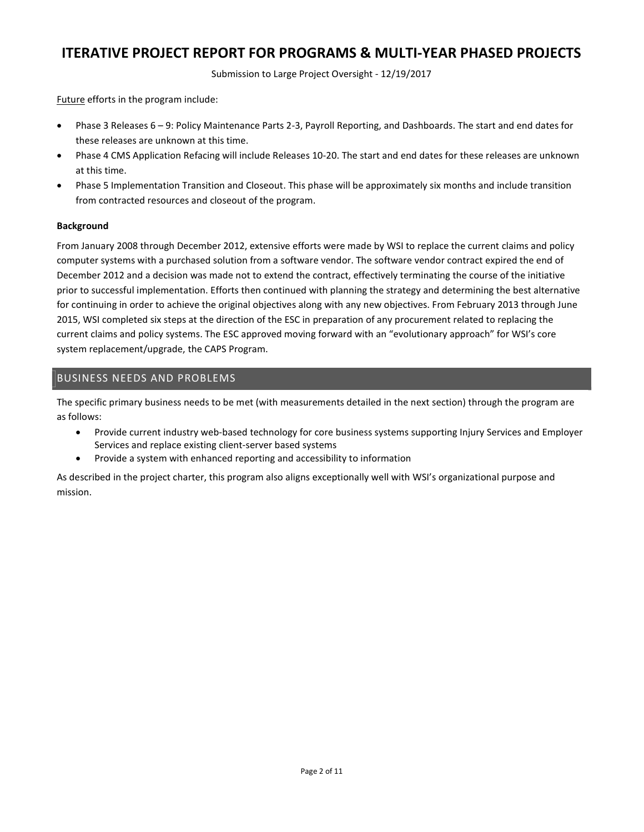Submission to Large Project Oversight - 12/19/2017

Future efforts in the program include:

- Phase 3 Releases 6 9: Policy Maintenance Parts 2-3, Payroll Reporting, and Dashboards. The start and end dates for these releases are unknown at this time.
- Phase 4 CMS Application Refacing will include Releases 10-20. The start and end dates for these releases are unknown at this time.
- Phase 5 Implementation Transition and Closeout. This phase will be approximately six months and include transition from contracted resources and closeout of the program.

#### Background

From January 2008 through December 2012, extensive efforts were made by WSI to replace the current claims and policy computer systems with a purchased solution from a software vendor. The software vendor contract expired the end of December 2012 and a decision was made not to extend the contract, effectively terminating the course of the initiative prior to successful implementation. Efforts then continued with planning the strategy and determining the best alternative for continuing in order to achieve the original objectives along with any new objectives. From February 2013 through June 2015, WSI completed six steps at the direction of the ESC in preparation of any procurement related to replacing the current claims and policy systems. The ESC approved moving forward with an "evolutionary approach" for WSI's core system replacement/upgrade, the CAPS Program.

### BUSINESS NEEDS AND PROBLEMS

The specific primary business needs to be met (with measurements detailed in the next section) through the program are as follows:

- Provide current industry web-based technology for core business systems supporting Injury Services and Employer Services and replace existing client-server based systems
- Provide a system with enhanced reporting and accessibility to information

As described in the project charter, this program also aligns exceptionally well with WSI's organizational purpose and mission.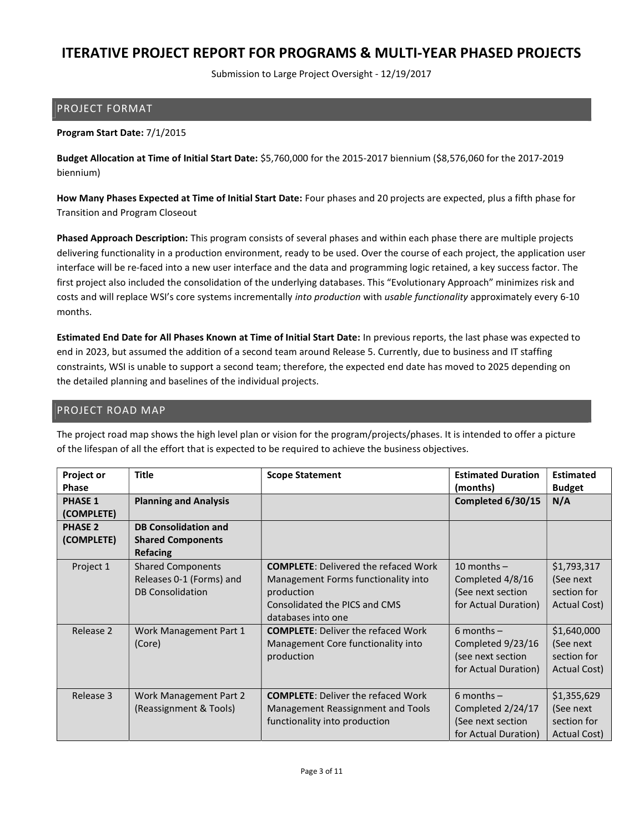Submission to Large Project Oversight - 12/19/2017

### PROJECT FORMAT

### Program Start Date: 7/1/2015

Budget Allocation at Time of Initial Start Date: \$5,760,000 for the 2015-2017 biennium (\$8,576,060 for the 2017-2019 biennium)

How Many Phases Expected at Time of Initial Start Date: Four phases and 20 projects are expected, plus a fifth phase for Transition and Program Closeout

Phased Approach Description: This program consists of several phases and within each phase there are multiple projects delivering functionality in a production environment, ready to be used. Over the course of each project, the application user interface will be re-faced into a new user interface and the data and programming logic retained, a key success factor. The first project also included the consolidation of the underlying databases. This "Evolutionary Approach" minimizes risk and costs and will replace WSI's core systems incrementally into production with usable functionality approximately every 6-10 months.

Estimated End Date for All Phases Known at Time of Initial Start Date: In previous reports, the last phase was expected to end in 2023, but assumed the addition of a second team around Release 5. Currently, due to business and IT staffing constraints, WSI is unable to support a second team; therefore, the expected end date has moved to 2025 depending on the detailed planning and baselines of the individual projects.

### PROJECT ROAD MAP

The project road map shows the high level plan or vision for the program/projects/phases. It is intended to offer a picture of the lifespan of all the effort that is expected to be required to achieve the business objectives.

| Project or<br><b>Phase</b>   | <b>Title</b>                                                                    | <b>Scope Statement</b>                                                                                                                                  | <b>Estimated Duration</b><br>(months)                                          | <b>Estimated</b><br><b>Budget</b>                        |
|------------------------------|---------------------------------------------------------------------------------|---------------------------------------------------------------------------------------------------------------------------------------------------------|--------------------------------------------------------------------------------|----------------------------------------------------------|
| <b>PHASE 1</b><br>(COMPLETE) | <b>Planning and Analysis</b>                                                    |                                                                                                                                                         | Completed 6/30/15                                                              | N/A                                                      |
| <b>PHASE 2</b><br>(COMPLETE) | <b>DB Consolidation and</b><br><b>Shared Components</b><br><b>Refacing</b>      |                                                                                                                                                         |                                                                                |                                                          |
| Project 1                    | <b>Shared Components</b><br>Releases 0-1 (Forms) and<br><b>DB Consolidation</b> | <b>COMPLETE: Delivered the refaced Work</b><br>Management Forms functionality into<br>production<br>Consolidated the PICS and CMS<br>databases into one | 10 months $-$<br>Completed 4/8/16<br>(See next section<br>for Actual Duration) | \$1,793,317<br>(See next)<br>section for<br>Actual Cost) |
| Release 2                    | Work Management Part 1<br>(Core)                                                | <b>COMPLETE: Deliver the refaced Work</b><br>Management Core functionality into<br>production                                                           | 6 months $-$<br>Completed 9/23/16<br>(see next section<br>for Actual Duration) | \$1,640,000<br>(See next)<br>section for<br>Actual Cost) |
| Release 3                    | Work Management Part 2<br>(Reassignment & Tools)                                | <b>COMPLETE: Deliver the refaced Work</b><br>Management Reassignment and Tools<br>functionality into production                                         | 6 months $-$<br>Completed 2/24/17<br>(See next section<br>for Actual Duration) | \$1,355,629<br>(See next<br>section for<br>Actual Cost)  |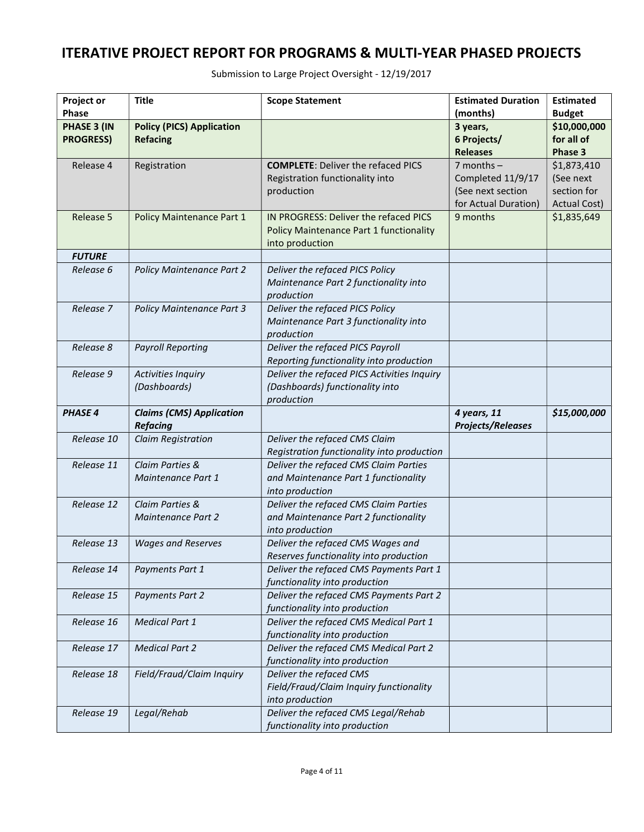| Project or       | <b>Title</b>                     | <b>Scope Statement</b>                                   | <b>Estimated Duration</b>      | <b>Estimated</b>           |
|------------------|----------------------------------|----------------------------------------------------------|--------------------------------|----------------------------|
| <b>Phase</b>     |                                  |                                                          | (months)                       | <b>Budget</b>              |
| PHASE 3 (IN      | <b>Policy (PICS) Application</b> |                                                          | 3 years,                       | \$10,000,000<br>for all of |
| <b>PROGRESS)</b> | <b>Refacing</b>                  |                                                          | 6 Projects/<br><b>Releases</b> | Phase 3                    |
| Release 4        |                                  | <b>COMPLETE: Deliver the refaced PICS</b>                | $7$ months $-$                 | \$1,873,410                |
|                  | Registration                     | Registration functionality into                          | Completed 11/9/17              | (See next                  |
|                  |                                  | production                                               | (See next section              | section for                |
|                  |                                  |                                                          | for Actual Duration)           | <b>Actual Cost)</b>        |
| Release 5        | Policy Maintenance Part 1        | IN PROGRESS: Deliver the refaced PICS                    | 9 months                       | \$1,835,649                |
|                  |                                  | <b>Policy Maintenance Part 1 functionality</b>           |                                |                            |
|                  |                                  | into production                                          |                                |                            |
| <b>FUTURE</b>    |                                  |                                                          |                                |                            |
| Release 6        | <b>Policy Maintenance Part 2</b> | Deliver the refaced PICS Policy                          |                                |                            |
|                  |                                  | Maintenance Part 2 functionality into                    |                                |                            |
|                  |                                  | production                                               |                                |                            |
| Release 7        | <b>Policy Maintenance Part 3</b> | Deliver the refaced PICS Policy                          |                                |                            |
|                  |                                  | Maintenance Part 3 functionality into                    |                                |                            |
|                  |                                  | production                                               |                                |                            |
| Release 8        | <b>Payroll Reporting</b>         | Deliver the refaced PICS Payroll                         |                                |                            |
|                  |                                  | Reporting functionality into production                  |                                |                            |
| Release 9        | <b>Activities Inquiry</b>        | Deliver the refaced PICS Activities Inquiry              |                                |                            |
|                  | (Dashboards)                     | (Dashboards) functionality into                          |                                |                            |
|                  |                                  | production                                               |                                |                            |
| <b>PHASE 4</b>   | <b>Claims (CMS) Application</b>  |                                                          | 4 years, 11                    | \$15,000,000               |
|                  | <b>Refacing</b>                  |                                                          | <b>Projects/Releases</b>       |                            |
| Release 10       | <b>Claim Registration</b>        | Deliver the refaced CMS Claim                            |                                |                            |
|                  |                                  | Registration functionality into production               |                                |                            |
| Release 11       | Claim Parties &                  | Deliver the refaced CMS Claim Parties                    |                                |                            |
|                  | Maintenance Part 1               | and Maintenance Part 1 functionality                     |                                |                            |
|                  |                                  | into production                                          |                                |                            |
| Release 12       | Claim Parties &                  | Deliver the refaced CMS Claim Parties                    |                                |                            |
|                  | <b>Maintenance Part 2</b>        | and Maintenance Part 2 functionality                     |                                |                            |
|                  |                                  | into production                                          |                                |                            |
| Release 13       | <b>Wages and Reserves</b>        | Deliver the refaced CMS Wages and                        |                                |                            |
|                  |                                  | Reserves functionality into production                   |                                |                            |
| Release 14       | Payments Part 1                  | Deliver the refaced CMS Payments Part 1                  |                                |                            |
|                  |                                  | functionality into production                            |                                |                            |
| Release 15       | Payments Part 2                  | Deliver the refaced CMS Payments Part 2                  |                                |                            |
|                  |                                  | functionality into production                            |                                |                            |
| Release 16       | <b>Medical Part 1</b>            | Deliver the refaced CMS Medical Part 1                   |                                |                            |
|                  |                                  | functionality into production                            |                                |                            |
| Release 17       | <b>Medical Part 2</b>            | Deliver the refaced CMS Medical Part 2                   |                                |                            |
|                  | Field/Fraud/Claim Inquiry        | functionality into production<br>Deliver the refaced CMS |                                |                            |
| Release 18       |                                  | Field/Fraud/Claim Inquiry functionality                  |                                |                            |
|                  |                                  | into production                                          |                                |                            |
| Release 19       | Legal/Rehab                      | Deliver the refaced CMS Legal/Rehab                      |                                |                            |
|                  |                                  | functionality into production                            |                                |                            |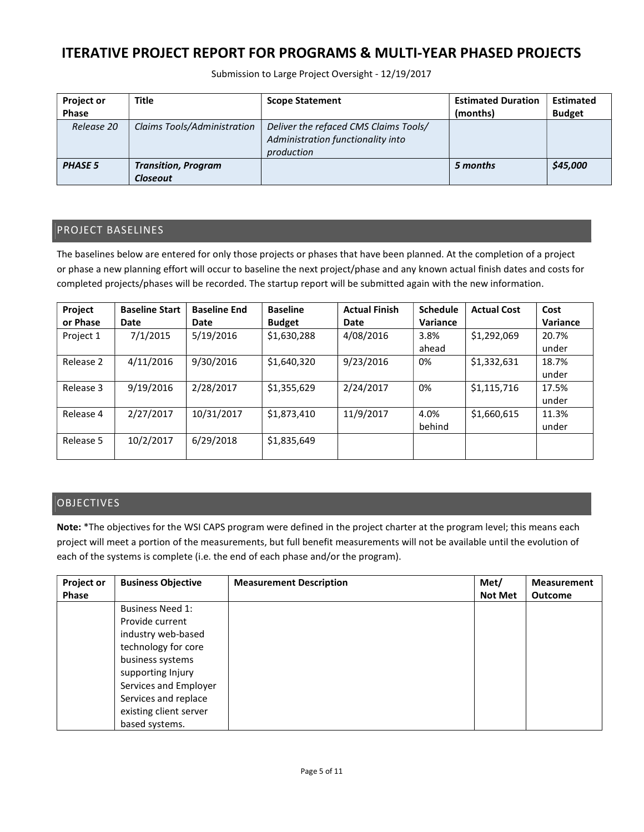Submission to Large Project Oversight - 12/19/2017

| <b>Project or</b><br><b>Phase</b> | Title                                  | <b>Scope Statement</b>                                                                   | <b>Estimated Duration</b><br>(months) | <b>Estimated</b><br><b>Budget</b> |
|-----------------------------------|----------------------------------------|------------------------------------------------------------------------------------------|---------------------------------------|-----------------------------------|
| Release 20                        | Claims Tools/Administration            | Deliver the refaced CMS Claims Tools/<br>Administration functionality into<br>production |                                       |                                   |
| <b>PHASE 5</b>                    | <b>Transition, Program</b><br>Closeout |                                                                                          | 5 months                              | \$45,000                          |

### PROJECT BASELINES

The baselines below are entered for only those projects or phases that have been planned. At the completion of a project or phase a new planning effort will occur to baseline the next project/phase and any known actual finish dates and costs for completed projects/phases will be recorded. The startup report will be submitted again with the new information.

| Project   | <b>Baseline Start</b> | <b>Baseline End</b> | <b>Baseline</b> | <b>Actual Finish</b> | <b>Schedule</b> | <b>Actual Cost</b> | Cost     |
|-----------|-----------------------|---------------------|-----------------|----------------------|-----------------|--------------------|----------|
| or Phase  | Date                  | Date                | <b>Budget</b>   | Date                 | Variance        |                    | Variance |
| Project 1 | 7/1/2015              | 5/19/2016           | \$1,630,288     | 4/08/2016            | 3.8%            | \$1,292,069        | 20.7%    |
|           |                       |                     |                 |                      | ahead           |                    | under    |
| Release 2 | 4/11/2016             | 9/30/2016           | \$1,640,320     | 9/23/2016            | 0%              | \$1,332,631        | 18.7%    |
|           |                       |                     |                 |                      |                 |                    | under    |
| Release 3 | 9/19/2016             | 2/28/2017           | \$1,355,629     | 2/24/2017            | 0%              | \$1,115,716        | 17.5%    |
|           |                       |                     |                 |                      |                 |                    | under    |
| Release 4 | 2/27/2017             | 10/31/2017          | \$1,873,410     | 11/9/2017            | 4.0%            | \$1,660,615        | 11.3%    |
|           |                       |                     |                 |                      | behind          |                    | under    |
| Release 5 | 10/2/2017             | 6/29/2018           | \$1,835,649     |                      |                 |                    |          |
|           |                       |                     |                 |                      |                 |                    |          |

## **OBJECTIVES**

Note: \*The objectives for the WSI CAPS program were defined in the project charter at the program level; this means each project will meet a portion of the measurements, but full benefit measurements will not be available until the evolution of each of the systems is complete (i.e. the end of each phase and/or the program).

| Project or | <b>Business Objective</b> | <b>Measurement Description</b> | Met/           | <b>Measurement</b> |
|------------|---------------------------|--------------------------------|----------------|--------------------|
| Phase      |                           |                                | <b>Not Met</b> | <b>Outcome</b>     |
|            | <b>Business Need 1:</b>   |                                |                |                    |
|            | Provide current           |                                |                |                    |
|            | industry web-based        |                                |                |                    |
|            | technology for core       |                                |                |                    |
|            | business systems          |                                |                |                    |
|            | supporting Injury         |                                |                |                    |
|            | Services and Employer     |                                |                |                    |
|            | Services and replace      |                                |                |                    |
|            | existing client server    |                                |                |                    |
|            | based systems.            |                                |                |                    |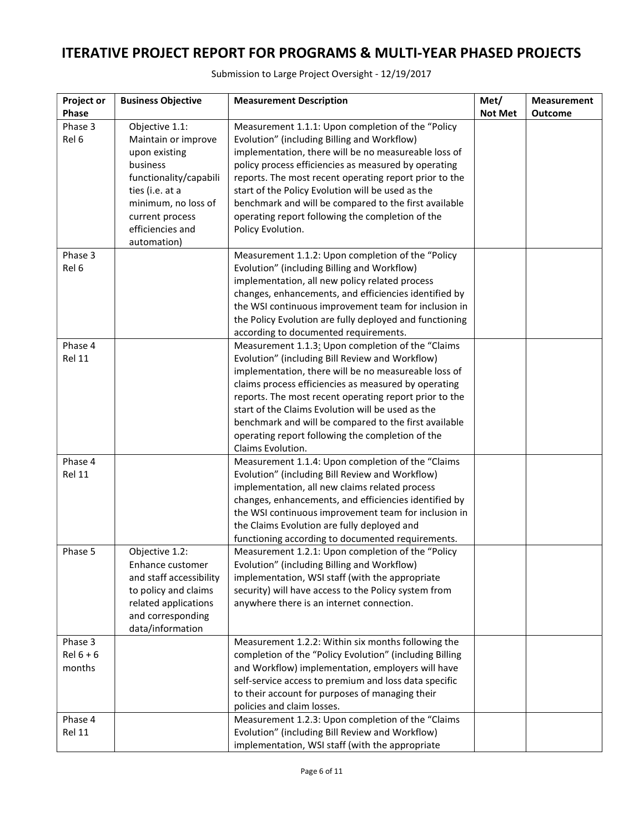| Submission to Large Project Oversight - 12/19/2017 |
|----------------------------------------------------|
|----------------------------------------------------|

| <b>Project or</b> | <b>Business Objective</b>                   | <b>Measurement Description</b>                                                                   | Met/           | <b>Measurement</b> |
|-------------------|---------------------------------------------|--------------------------------------------------------------------------------------------------|----------------|--------------------|
| Phase             |                                             |                                                                                                  | <b>Not Met</b> | <b>Outcome</b>     |
| Phase 3           | Objective 1.1:                              | Measurement 1.1.1: Upon completion of the "Policy                                                |                |                    |
| Rel 6             | Maintain or improve                         | Evolution" (including Billing and Workflow)                                                      |                |                    |
|                   | upon existing                               | implementation, there will be no measureable loss of                                             |                |                    |
|                   | business                                    | policy process efficiencies as measured by operating                                             |                |                    |
|                   | functionality/capabili                      | reports. The most recent operating report prior to the                                           |                |                    |
|                   | ties (i.e. at a                             | start of the Policy Evolution will be used as the                                                |                |                    |
|                   | minimum, no loss of                         | benchmark and will be compared to the first available                                            |                |                    |
|                   | current process<br>efficiencies and         | operating report following the completion of the<br>Policy Evolution.                            |                |                    |
|                   | automation)                                 |                                                                                                  |                |                    |
| Phase 3           |                                             | Measurement 1.1.2: Upon completion of the "Policy                                                |                |                    |
| Rel 6             |                                             | Evolution" (including Billing and Workflow)                                                      |                |                    |
|                   |                                             | implementation, all new policy related process                                                   |                |                    |
|                   |                                             | changes, enhancements, and efficiencies identified by                                            |                |                    |
|                   |                                             | the WSI continuous improvement team for inclusion in                                             |                |                    |
|                   |                                             | the Policy Evolution are fully deployed and functioning                                          |                |                    |
|                   |                                             | according to documented requirements.                                                            |                |                    |
| Phase 4           |                                             | Measurement 1.1.3: Upon completion of the "Claims                                                |                |                    |
| Rel 11            |                                             | Evolution" (including Bill Review and Workflow)                                                  |                |                    |
|                   |                                             | implementation, there will be no measureable loss of                                             |                |                    |
|                   |                                             | claims process efficiencies as measured by operating                                             |                |                    |
|                   |                                             | reports. The most recent operating report prior to the                                           |                |                    |
|                   |                                             | start of the Claims Evolution will be used as the                                                |                |                    |
|                   |                                             | benchmark and will be compared to the first available                                            |                |                    |
|                   |                                             | operating report following the completion of the<br>Claims Evolution.                            |                |                    |
| Phase 4           |                                             | Measurement 1.1.4: Upon completion of the "Claims                                                |                |                    |
| Rel 11            |                                             | Evolution" (including Bill Review and Workflow)                                                  |                |                    |
|                   |                                             | implementation, all new claims related process                                                   |                |                    |
|                   |                                             | changes, enhancements, and efficiencies identified by                                            |                |                    |
|                   |                                             | the WSI continuous improvement team for inclusion in                                             |                |                    |
|                   |                                             | the Claims Evolution are fully deployed and                                                      |                |                    |
|                   |                                             | functioning according to documented requirements.                                                |                |                    |
| Phase 5           | Objective 1.2:                              | Measurement 1.2.1: Upon completion of the "Policy<br>Evolution" (including Billing and Workflow) |                |                    |
|                   | Enhance customer<br>and staff accessibility | implementation, WSI staff (with the appropriate                                                  |                |                    |
|                   | to policy and claims                        | security) will have access to the Policy system from                                             |                |                    |
|                   | related applications                        | anywhere there is an internet connection.                                                        |                |                    |
|                   | and corresponding                           |                                                                                                  |                |                    |
|                   | data/information                            |                                                                                                  |                |                    |
| Phase 3           |                                             | Measurement 1.2.2: Within six months following the                                               |                |                    |
| $Rel 6 + 6$       |                                             | completion of the "Policy Evolution" (including Billing                                          |                |                    |
| months            |                                             | and Workflow) implementation, employers will have                                                |                |                    |
|                   |                                             | self-service access to premium and loss data specific                                            |                |                    |
|                   |                                             | to their account for purposes of managing their                                                  |                |                    |
|                   |                                             | policies and claim losses.                                                                       |                |                    |
| Phase 4           |                                             | Measurement 1.2.3: Upon completion of the "Claims                                                |                |                    |
| <b>Rel 11</b>     |                                             | Evolution" (including Bill Review and Workflow)                                                  |                |                    |
|                   |                                             | implementation, WSI staff (with the appropriate                                                  |                |                    |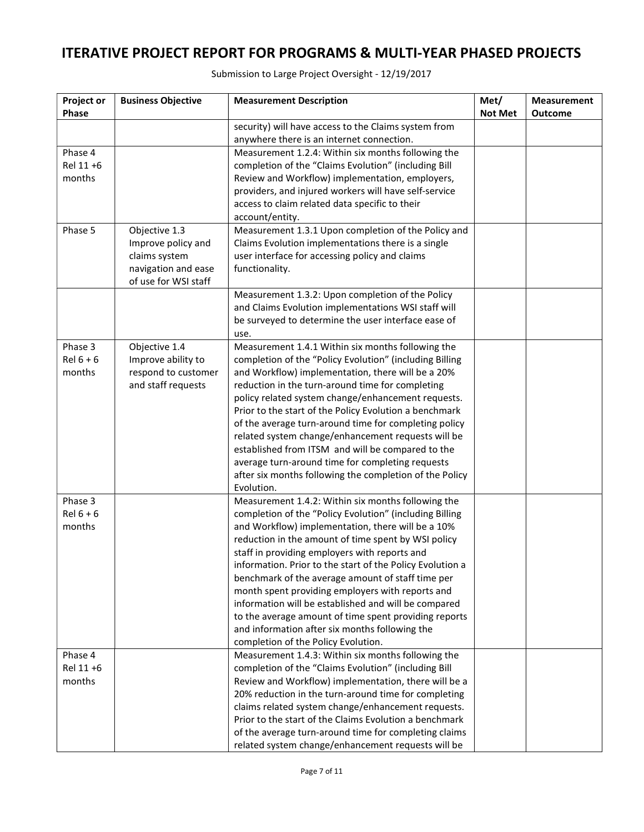| Phase<br><b>Not Met</b><br><b>Outcome</b><br>security) will have access to the Claims system from<br>anywhere there is an internet connection.<br>Phase 4<br>Measurement 1.2.4: Within six months following the |  |
|-----------------------------------------------------------------------------------------------------------------------------------------------------------------------------------------------------------------|--|
|                                                                                                                                                                                                                 |  |
|                                                                                                                                                                                                                 |  |
|                                                                                                                                                                                                                 |  |
|                                                                                                                                                                                                                 |  |
| Rel 11 +6<br>completion of the "Claims Evolution" (including Bill                                                                                                                                               |  |
| months<br>Review and Workflow) implementation, employers,                                                                                                                                                       |  |
| providers, and injured workers will have self-service                                                                                                                                                           |  |
| access to claim related data specific to their                                                                                                                                                                  |  |
| account/entity.                                                                                                                                                                                                 |  |
| Phase 5<br>Objective 1.3<br>Measurement 1.3.1 Upon completion of the Policy and                                                                                                                                 |  |
| Claims Evolution implementations there is a single<br>Improve policy and                                                                                                                                        |  |
| claims system<br>user interface for accessing policy and claims                                                                                                                                                 |  |
| navigation and ease<br>functionality.                                                                                                                                                                           |  |
| of use for WSI staff                                                                                                                                                                                            |  |
| Measurement 1.3.2: Upon completion of the Policy                                                                                                                                                                |  |
| and Claims Evolution implementations WSI staff will                                                                                                                                                             |  |
| be surveyed to determine the user interface ease of                                                                                                                                                             |  |
| use.                                                                                                                                                                                                            |  |
| Phase 3<br>Objective 1.4<br>Measurement 1.4.1 Within six months following the<br>$Rel 6 + 6$                                                                                                                    |  |
| Improve ability to<br>completion of the "Policy Evolution" (including Billing<br>months<br>respond to customer<br>and Workflow) implementation, there will be a 20%                                             |  |
| and staff requests<br>reduction in the turn-around time for completing                                                                                                                                          |  |
| policy related system change/enhancement requests.                                                                                                                                                              |  |
| Prior to the start of the Policy Evolution a benchmark                                                                                                                                                          |  |
| of the average turn-around time for completing policy                                                                                                                                                           |  |
| related system change/enhancement requests will be                                                                                                                                                              |  |
| established from ITSM and will be compared to the                                                                                                                                                               |  |
| average turn-around time for completing requests                                                                                                                                                                |  |
| after six months following the completion of the Policy                                                                                                                                                         |  |
| Evolution.                                                                                                                                                                                                      |  |
| Phase 3<br>Measurement 1.4.2: Within six months following the                                                                                                                                                   |  |
| $Rel 6 + 6$<br>completion of the "Policy Evolution" (including Billing                                                                                                                                          |  |
| and Workflow) implementation, there will be a 10%<br>months                                                                                                                                                     |  |
| reduction in the amount of time spent by WSI policy                                                                                                                                                             |  |
| staff in providing employers with reports and                                                                                                                                                                   |  |
| information. Prior to the start of the Policy Evolution a                                                                                                                                                       |  |
| benchmark of the average amount of staff time per                                                                                                                                                               |  |
| month spent providing employers with reports and                                                                                                                                                                |  |
| information will be established and will be compared                                                                                                                                                            |  |
| to the average amount of time spent providing reports                                                                                                                                                           |  |
| and information after six months following the                                                                                                                                                                  |  |
| completion of the Policy Evolution.                                                                                                                                                                             |  |
| Measurement 1.4.3: Within six months following the<br>Phase 4                                                                                                                                                   |  |
| Rel 11 +6<br>completion of the "Claims Evolution" (including Bill                                                                                                                                               |  |
| Review and Workflow) implementation, there will be a<br>months                                                                                                                                                  |  |
| 20% reduction in the turn-around time for completing                                                                                                                                                            |  |
| claims related system change/enhancement requests.                                                                                                                                                              |  |
| Prior to the start of the Claims Evolution a benchmark                                                                                                                                                          |  |
| of the average turn-around time for completing claims<br>related system change/enhancement requests will be                                                                                                     |  |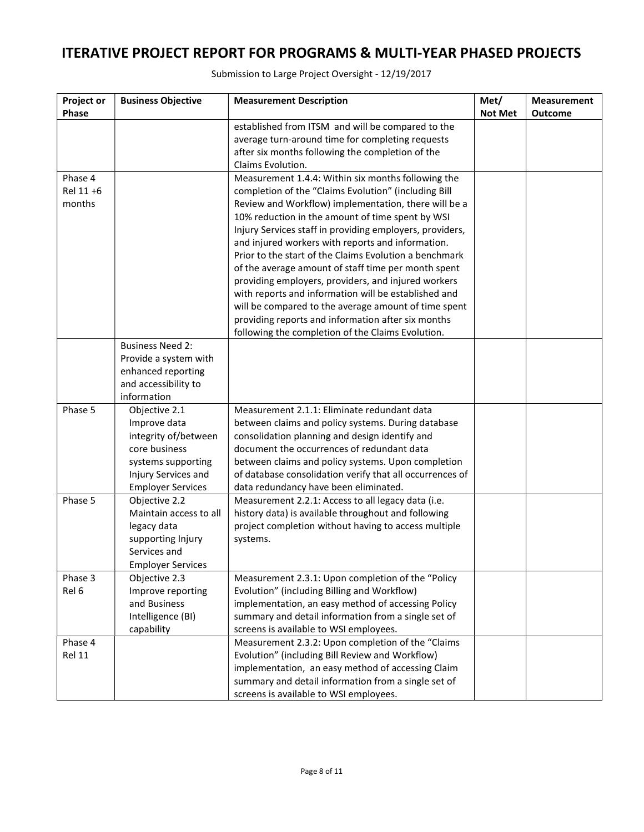| Project or<br>Phase            | <b>Business Objective</b>                                                                                                                       | <b>Measurement Description</b>                                                                                                                                                                                                                                                                                                                                                                                                                                                                                                                                                                                                                                                                                                             | Met/<br><b>Not Met</b> | <b>Measurement</b><br><b>Outcome</b> |
|--------------------------------|-------------------------------------------------------------------------------------------------------------------------------------------------|--------------------------------------------------------------------------------------------------------------------------------------------------------------------------------------------------------------------------------------------------------------------------------------------------------------------------------------------------------------------------------------------------------------------------------------------------------------------------------------------------------------------------------------------------------------------------------------------------------------------------------------------------------------------------------------------------------------------------------------------|------------------------|--------------------------------------|
|                                |                                                                                                                                                 | established from ITSM and will be compared to the<br>average turn-around time for completing requests<br>after six months following the completion of the<br>Claims Evolution.                                                                                                                                                                                                                                                                                                                                                                                                                                                                                                                                                             |                        |                                      |
| Phase 4<br>Rel 11 +6<br>months |                                                                                                                                                 | Measurement 1.4.4: Within six months following the<br>completion of the "Claims Evolution" (including Bill<br>Review and Workflow) implementation, there will be a<br>10% reduction in the amount of time spent by WSI<br>Injury Services staff in providing employers, providers,<br>and injured workers with reports and information.<br>Prior to the start of the Claims Evolution a benchmark<br>of the average amount of staff time per month spent<br>providing employers, providers, and injured workers<br>with reports and information will be established and<br>will be compared to the average amount of time spent<br>providing reports and information after six months<br>following the completion of the Claims Evolution. |                        |                                      |
|                                | <b>Business Need 2:</b><br>Provide a system with<br>enhanced reporting<br>and accessibility to<br>information                                   |                                                                                                                                                                                                                                                                                                                                                                                                                                                                                                                                                                                                                                                                                                                                            |                        |                                      |
| Phase 5                        | Objective 2.1<br>Improve data<br>integrity of/between<br>core business<br>systems supporting<br>Injury Services and<br><b>Employer Services</b> | Measurement 2.1.1: Eliminate redundant data<br>between claims and policy systems. During database<br>consolidation planning and design identify and<br>document the occurrences of redundant data<br>between claims and policy systems. Upon completion<br>of database consolidation verify that all occurrences of<br>data redundancy have been eliminated.                                                                                                                                                                                                                                                                                                                                                                               |                        |                                      |
| Phase 5                        | Objective 2.2<br>Maintain access to all<br>legacy data<br>supporting Injury<br>Services and<br><b>Employer Services</b>                         | Measurement 2.2.1: Access to all legacy data (i.e.<br>history data) is available throughout and following<br>project completion without having to access multiple<br>systems.                                                                                                                                                                                                                                                                                                                                                                                                                                                                                                                                                              |                        |                                      |
| Phase 3<br>Rel 6               | Objective 2.3<br>Improve reporting<br>and Business<br>Intelligence (BI)<br>capability                                                           | Measurement 2.3.1: Upon completion of the "Policy<br>Evolution" (including Billing and Workflow)<br>implementation, an easy method of accessing Policy<br>summary and detail information from a single set of<br>screens is available to WSI employees.                                                                                                                                                                                                                                                                                                                                                                                                                                                                                    |                        |                                      |
| Phase 4<br>Rel 11              |                                                                                                                                                 | Measurement 2.3.2: Upon completion of the "Claims<br>Evolution" (including Bill Review and Workflow)<br>implementation, an easy method of accessing Claim<br>summary and detail information from a single set of<br>screens is available to WSI employees.                                                                                                                                                                                                                                                                                                                                                                                                                                                                                 |                        |                                      |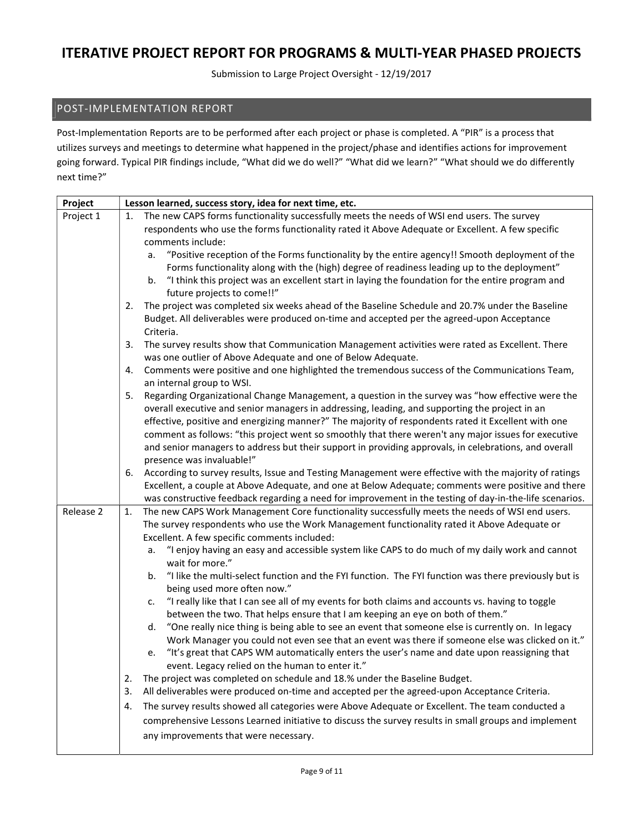Submission to Large Project Oversight - 12/19/2017

### POST-IMPLEMENTATION REPORT

Post-Implementation Reports are to be performed after each project or phase is completed. A "PIR" is a process that utilizes surveys and meetings to determine what happened in the project/phase and identifies actions for improvement going forward. Typical PIR findings include, "What did we do well?" "What did we learn?" "What should we do differently next time?"

| Project   | Lesson learned, success story, idea for next time, etc.                                                                                                                                                       |
|-----------|---------------------------------------------------------------------------------------------------------------------------------------------------------------------------------------------------------------|
| Project 1 | The new CAPS forms functionality successfully meets the needs of WSI end users. The survey<br>1.                                                                                                              |
|           | respondents who use the forms functionality rated it Above Adequate or Excellent. A few specific                                                                                                              |
|           | comments include:                                                                                                                                                                                             |
|           | "Positive reception of the Forms functionality by the entire agency!! Smooth deployment of the<br>a.                                                                                                          |
|           | Forms functionality along with the (high) degree of readiness leading up to the deployment"                                                                                                                   |
|           | "I think this project was an excellent start in laying the foundation for the entire program and<br>b.                                                                                                        |
|           | future projects to come!!"                                                                                                                                                                                    |
|           | The project was completed six weeks ahead of the Baseline Schedule and 20.7% under the Baseline<br>2.                                                                                                         |
|           | Budget. All deliverables were produced on-time and accepted per the agreed-upon Acceptance<br>Criteria.                                                                                                       |
|           | The survey results show that Communication Management activities were rated as Excellent. There<br>3.                                                                                                         |
|           | was one outlier of Above Adequate and one of Below Adequate.                                                                                                                                                  |
|           | Comments were positive and one highlighted the tremendous success of the Communications Team,<br>4.                                                                                                           |
|           | an internal group to WSI.                                                                                                                                                                                     |
|           | Regarding Organizational Change Management, a question in the survey was "how effective were the<br>5.                                                                                                        |
|           | overall executive and senior managers in addressing, leading, and supporting the project in an                                                                                                                |
|           | effective, positive and energizing manner?" The majority of respondents rated it Excellent with one                                                                                                           |
|           | comment as follows: "this project went so smoothly that there weren't any major issues for executive                                                                                                          |
|           | and senior managers to address but their support in providing approvals, in celebrations, and overall                                                                                                         |
|           | presence was invaluable!"                                                                                                                                                                                     |
|           | According to survey results, Issue and Testing Management were effective with the majority of ratings<br>6.                                                                                                   |
|           | Excellent, a couple at Above Adequate, and one at Below Adequate; comments were positive and there<br>was constructive feedback regarding a need for improvement in the testing of day-in-the-life scenarios. |
| Release 2 | The new CAPS Work Management Core functionality successfully meets the needs of WSI end users.<br>1.                                                                                                          |
|           | The survey respondents who use the Work Management functionality rated it Above Adequate or                                                                                                                   |
|           | Excellent. A few specific comments included:                                                                                                                                                                  |
|           | "I enjoy having an easy and accessible system like CAPS to do much of my daily work and cannot<br>a.                                                                                                          |
|           | wait for more."                                                                                                                                                                                               |
|           | "I like the multi-select function and the FYI function. The FYI function was there previously but is<br>b.                                                                                                    |
|           | being used more often now."                                                                                                                                                                                   |
|           | "I really like that I can see all of my events for both claims and accounts vs. having to toggle<br>c.                                                                                                        |
|           | between the two. That helps ensure that I am keeping an eye on both of them."                                                                                                                                 |
|           | "One really nice thing is being able to see an event that someone else is currently on. In legacy<br>d.                                                                                                       |
|           | Work Manager you could not even see that an event was there if someone else was clicked on it."                                                                                                               |
|           | "It's great that CAPS WM automatically enters the user's name and date upon reassigning that<br>e.                                                                                                            |
|           | event. Legacy relied on the human to enter it."                                                                                                                                                               |
|           | The project was completed on schedule and 18.% under the Baseline Budget.<br>2.                                                                                                                               |
|           | All deliverables were produced on-time and accepted per the agreed-upon Acceptance Criteria.<br>3.                                                                                                            |
|           | The survey results showed all categories were Above Adequate or Excellent. The team conducted a<br>4.                                                                                                         |
|           | comprehensive Lessons Learned initiative to discuss the survey results in small groups and implement                                                                                                          |
|           | any improvements that were necessary.                                                                                                                                                                         |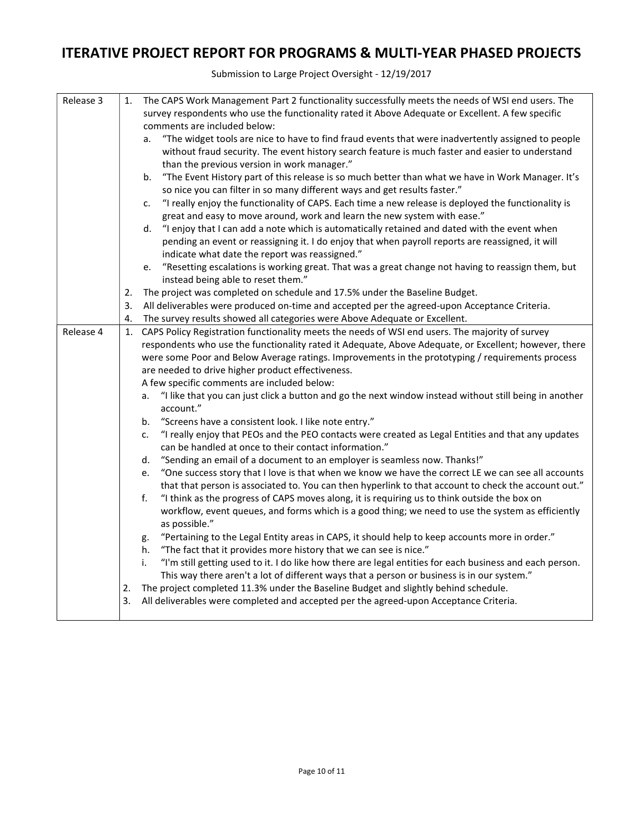| Release 3 | 1. | The CAPS Work Management Part 2 functionality successfully meets the needs of WSI end users. The                   |
|-----------|----|--------------------------------------------------------------------------------------------------------------------|
|           |    | survey respondents who use the functionality rated it Above Adequate or Excellent. A few specific                  |
|           |    | comments are included below:                                                                                       |
|           |    | "The widget tools are nice to have to find fraud events that were inadvertently assigned to people<br>a.           |
|           |    | without fraud security. The event history search feature is much faster and easier to understand                   |
|           |    | than the previous version in work manager."                                                                        |
|           |    | "The Event History part of this release is so much better than what we have in Work Manager. It's<br>b.            |
|           |    | so nice you can filter in so many different ways and get results faster."                                          |
|           |    | "I really enjoy the functionality of CAPS. Each time a new release is deployed the functionality is<br>c.          |
|           |    | great and easy to move around, work and learn the new system with ease."                                           |
|           |    | "I enjoy that I can add a note which is automatically retained and dated with the event when<br>d.                 |
|           |    | pending an event or reassigning it. I do enjoy that when payroll reports are reassigned, it will                   |
|           |    | indicate what date the report was reassigned."                                                                     |
|           |    | "Resetting escalations is working great. That was a great change not having to reassign them, but<br>e.            |
|           |    | instead being able to reset them."                                                                                 |
|           | 2. | The project was completed on schedule and 17.5% under the Baseline Budget.                                         |
|           | 3. | All deliverables were produced on-time and accepted per the agreed-upon Acceptance Criteria.                       |
|           | 4. | The survey results showed all categories were Above Adequate or Excellent.                                         |
| Release 4 | 1. | CAPS Policy Registration functionality meets the needs of WSI end users. The majority of survey                    |
|           |    | respondents who use the functionality rated it Adequate, Above Adequate, or Excellent; however, there              |
|           |    | were some Poor and Below Average ratings. Improvements in the prototyping / requirements process                   |
|           |    | are needed to drive higher product effectiveness.                                                                  |
|           |    | A few specific comments are included below:                                                                        |
|           |    | "I like that you can just click a button and go the next window instead without still being in another<br>a.       |
|           |    | account."                                                                                                          |
|           |    | "Screens have a consistent look. I like note entry."<br>b.                                                         |
|           |    | "I really enjoy that PEOs and the PEO contacts were created as Legal Entities and that any updates<br>c.           |
|           |    | can be handled at once to their contact information."                                                              |
|           |    | "Sending an email of a document to an employer is seamless now. Thanks!"<br>d.                                     |
|           |    | "One success story that I love is that when we know we have the correct LE we can see all accounts<br>e.           |
|           |    | that that person is associated to. You can then hyperlink to that account to check the account out."               |
|           |    | f.<br>"I think as the progress of CAPS moves along, it is requiring us to think outside the box on                 |
|           |    | workflow, event queues, and forms which is a good thing; we need to use the system as efficiently<br>as possible." |
|           |    | "Pertaining to the Legal Entity areas in CAPS, it should help to keep accounts more in order."<br>g.               |
|           |    | "The fact that it provides more history that we can see is nice."<br>h.                                            |
|           |    | "I'm still getting used to it. I do like how there are legal entities for each business and each person.<br>i.     |
|           |    | This way there aren't a lot of different ways that a person or business is in our system."                         |
|           | 2. | The project completed 11.3% under the Baseline Budget and slightly behind schedule.                                |
|           | 3. | All deliverables were completed and accepted per the agreed-upon Acceptance Criteria.                              |
|           |    |                                                                                                                    |